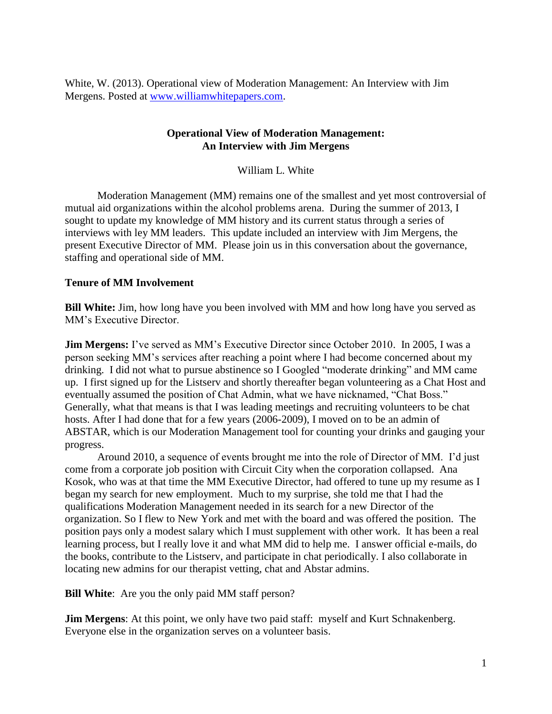White, W. (2013). Operational view of Moderation Management: An Interview with Jim Mergens. Posted at [www.williamwhitepapers.com.](http://www.williamwhitepapers.com/)

### **Operational View of Moderation Management: An Interview with Jim Mergens**

William L. White

Moderation Management (MM) remains one of the smallest and yet most controversial of mutual aid organizations within the alcohol problems arena. During the summer of 2013, I sought to update my knowledge of MM history and its current status through a series of interviews with ley MM leaders. This update included an interview with Jim Mergens, the present Executive Director of MM. Please join us in this conversation about the governance, staffing and operational side of MM.

## **Tenure of MM Involvement**

**Bill White:** Jim, how long have you been involved with MM and how long have you served as MM's Executive Director.

**Jim Mergens:** I've served as MM's Executive Director since October 2010. In 2005, I was a person seeking MM's services after reaching a point where I had become concerned about my drinking. I did not what to pursue abstinence so I Googled "moderate drinking" and MM came up. I first signed up for the Listserv and shortly thereafter began volunteering as a Chat Host and eventually assumed the position of Chat Admin, what we have nicknamed, "Chat Boss." Generally, what that means is that I was leading meetings and recruiting volunteers to be chat hosts. After I had done that for a few years (2006-2009), I moved on to be an admin of ABSTAR, which is our Moderation Management tool for counting your drinks and gauging your progress.

Around 2010, a sequence of events brought me into the role of Director of MM. I'd just come from a corporate job position with Circuit City when the corporation collapsed. Ana Kosok, who was at that time the MM Executive Director, had offered to tune up my resume as I began my search for new employment. Much to my surprise, she told me that I had the qualifications Moderation Management needed in its search for a new Director of the organization. So I flew to New York and met with the board and was offered the position. The position pays only a modest salary which I must supplement with other work. It has been a real learning process, but I really love it and what MM did to help me. I answer official e-mails, do the books, contribute to the Listserv, and participate in chat periodically. I also collaborate in locating new admins for our therapist vetting, chat and Abstar admins.

**Bill White**: Are you the only paid MM staff person?

**Jim Mergens:** At this point, we only have two paid staff: myself and Kurt Schnakenberg. Everyone else in the organization serves on a volunteer basis.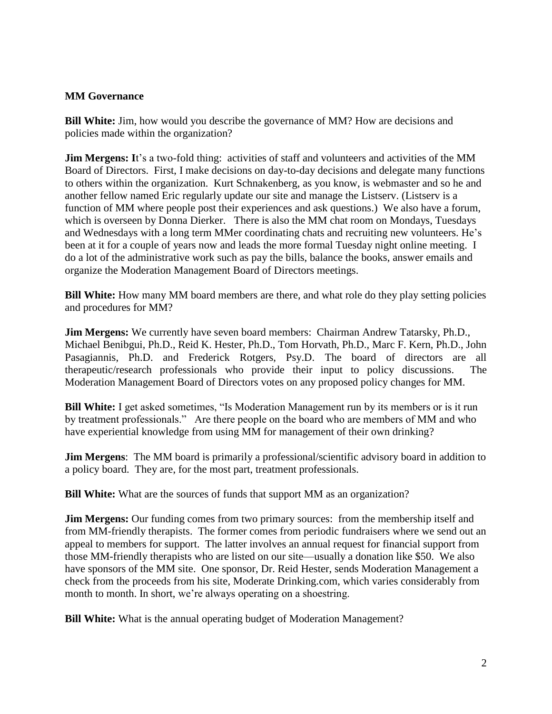# **MM Governance**

**Bill White:** Jim, how would you describe the governance of MM? How are decisions and policies made within the organization?

**Jim Mergens:** It's a two-fold thing: activities of staff and volunteers and activities of the MM Board of Directors. First, I make decisions on day-to-day decisions and delegate many functions to others within the organization. Kurt Schnakenberg, as you know, is webmaster and so he and another fellow named Eric regularly update our site and manage the Listserv. (Listserv is a function of MM where people post their experiences and ask questions.) We also have a forum, which is overseen by Donna Dierker. There is also the MM chat room on Mondays, Tuesdays and Wednesdays with a long term MMer coordinating chats and recruiting new volunteers. He's been at it for a couple of years now and leads the more formal Tuesday night online meeting. I do a lot of the administrative work such as pay the bills, balance the books, answer emails and organize the Moderation Management Board of Directors meetings.

**Bill White:** How many MM board members are there, and what role do they play setting policies and procedures for MM?

**Jim Mergens:** We currently have seven board members: Chairman Andrew Tatarsky, Ph.D., Michael Benibgui, Ph.D., Reid K. Hester, Ph.D., Tom Horvath, Ph.D., Marc F. Kern, Ph.D., John Pasagiannis, Ph.D. and Frederick Rotgers, Psy.D. The board of directors are all therapeutic/research professionals who provide their input to policy discussions. The Moderation Management Board of Directors votes on any proposed policy changes for MM.

**Bill White:** I get asked sometimes, "Is Moderation Management run by its members or is it run by treatment professionals." Are there people on the board who are members of MM and who have experiential knowledge from using MM for management of their own drinking?

**Jim Mergens**: The MM board is primarily a professional/scientific advisory board in addition to a policy board. They are, for the most part, treatment professionals.

**Bill White:** What are the sources of funds that support MM as an organization?

**Jim Mergens:** Our funding comes from two primary sources: from the membership itself and from MM-friendly therapists. The former comes from periodic fundraisers where we send out an appeal to members for support. The latter involves an annual request for financial support from those MM-friendly therapists who are listed on our site—usually a donation like \$50. We also have sponsors of the MM site. One sponsor, Dr. Reid Hester, sends Moderation Management a check from the proceeds from his site, Moderate Drinking.com, which varies considerably from month to month. In short, we're always operating on a shoestring.

**Bill White:** What is the annual operating budget of Moderation Management?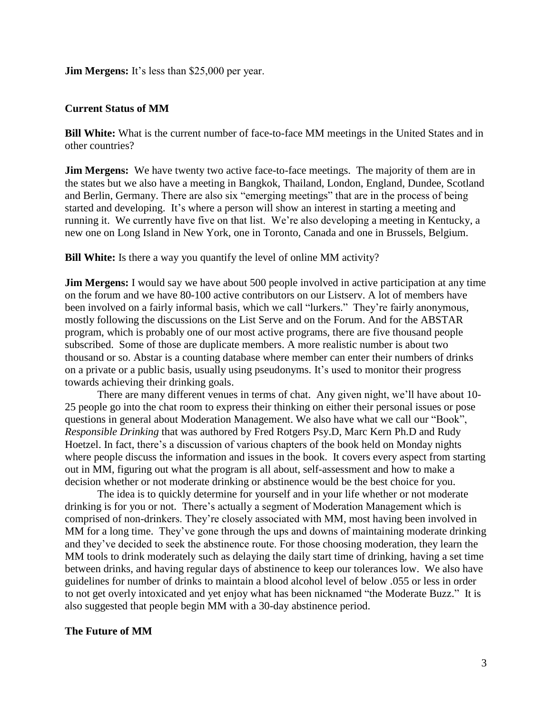#### **Jim Mergens:** It's less than \$25,000 per year.

#### **Current Status of MM**

**Bill White:** What is the current number of face-to-face MM meetings in the United States and in other countries?

**Jim Mergens:** We have twenty two active face-to-face meetings. The majority of them are in the states but we also have a meeting in Bangkok, Thailand, London, England, Dundee, Scotland and Berlin, Germany. There are also six "emerging meetings" that are in the process of being started and developing. It's where a person will show an interest in starting a meeting and running it. We currently have five on that list. We're also developing a meeting in Kentucky, a new one on Long Island in New York, one in Toronto, Canada and one in Brussels, Belgium.

**Bill White:** Is there a way you quantify the level of online MM activity?

**Jim Mergens:** I would say we have about 500 people involved in active participation at any time on the forum and we have 80-100 active contributors on our Listserv. A lot of members have been involved on a fairly informal basis, which we call "lurkers." They're fairly anonymous, mostly following the discussions on the List Serve and on the Forum. And for the ABSTAR program, which is probably one of our most active programs, there are five thousand people subscribed. Some of those are duplicate members. A more realistic number is about two thousand or so. Abstar is a counting database where member can enter their numbers of drinks on a private or a public basis, usually using pseudonyms. It's used to monitor their progress towards achieving their drinking goals.

There are many different venues in terms of chat. Any given night, we'll have about 10- 25 people go into the chat room to express their thinking on either their personal issues or pose questions in general about Moderation Management. We also have what we call our "Book", *Responsible Drinking* that was authored by Fred Rotgers Psy.D, Marc Kern Ph.D and Rudy Hoetzel. In fact, there's a discussion of various chapters of the book held on Monday nights where people discuss the information and issues in the book. It covers every aspect from starting out in MM, figuring out what the program is all about, self-assessment and how to make a decision whether or not moderate drinking or abstinence would be the best choice for you.

The idea is to quickly determine for yourself and in your life whether or not moderate drinking is for you or not. There's actually a segment of Moderation Management which is comprised of non-drinkers. They're closely associated with MM, most having been involved in MM for a long time. They've gone through the ups and downs of maintaining moderate drinking and they've decided to seek the abstinence route. For those choosing moderation, they learn the MM tools to drink moderately such as delaying the daily start time of drinking, having a set time between drinks, and having regular days of abstinence to keep our tolerances low. We also have guidelines for number of drinks to maintain a blood alcohol level of below .055 or less in order to not get overly intoxicated and yet enjoy what has been nicknamed "the Moderate Buzz." It is also suggested that people begin MM with a 30-day abstinence period.

#### **The Future of MM**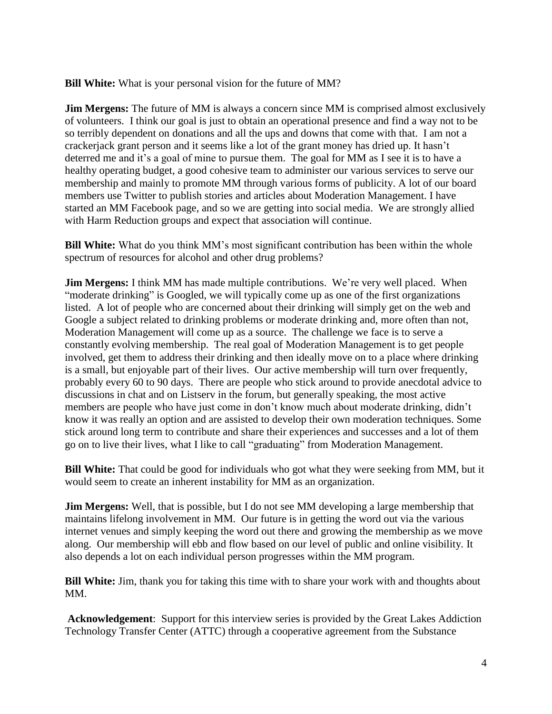**Bill White:** What is your personal vision for the future of MM?

**Jim Mergens:** The future of MM is always a concern since MM is comprised almost exclusively of volunteers. I think our goal is just to obtain an operational presence and find a way not to be so terribly dependent on donations and all the ups and downs that come with that. I am not a crackerjack grant person and it seems like a lot of the grant money has dried up. It hasn't deterred me and it's a goal of mine to pursue them. The goal for MM as I see it is to have a healthy operating budget, a good cohesive team to administer our various services to serve our membership and mainly to promote MM through various forms of publicity. A lot of our board members use Twitter to publish stories and articles about Moderation Management. I have started an MM Facebook page, and so we are getting into social media. We are strongly allied with Harm Reduction groups and expect that association will continue.

**Bill White:** What do you think MM's most significant contribution has been within the whole spectrum of resources for alcohol and other drug problems?

**Jim Mergens:** I think MM has made multiple contributions. We're very well placed. When "moderate drinking" is Googled, we will typically come up as one of the first organizations listed. A lot of people who are concerned about their drinking will simply get on the web and Google a subject related to drinking problems or moderate drinking and, more often than not, Moderation Management will come up as a source. The challenge we face is to serve a constantly evolving membership. The real goal of Moderation Management is to get people involved, get them to address their drinking and then ideally move on to a place where drinking is a small, but enjoyable part of their lives. Our active membership will turn over frequently, probably every 60 to 90 days. There are people who stick around to provide anecdotal advice to discussions in chat and on Listserv in the forum, but generally speaking, the most active members are people who have just come in don't know much about moderate drinking, didn't know it was really an option and are assisted to develop their own moderation techniques. Some stick around long term to contribute and share their experiences and successes and a lot of them go on to live their lives, what I like to call "graduating" from Moderation Management.

**Bill White:** That could be good for individuals who got what they were seeking from MM, but it would seem to create an inherent instability for MM as an organization.

**Jim Mergens:** Well, that is possible, but I do not see MM developing a large membership that maintains lifelong involvement in MM. Our future is in getting the word out via the various internet venues and simply keeping the word out there and growing the membership as we move along. Our membership will ebb and flow based on our level of public and online visibility. It also depends a lot on each individual person progresses within the MM program.

**Bill White:** Jim, thank you for taking this time with to share your work with and thoughts about MM.

**Acknowledgement**: Support for this interview series is provided by the Great Lakes Addiction Technology Transfer Center (ATTC) through a cooperative agreement from the Substance